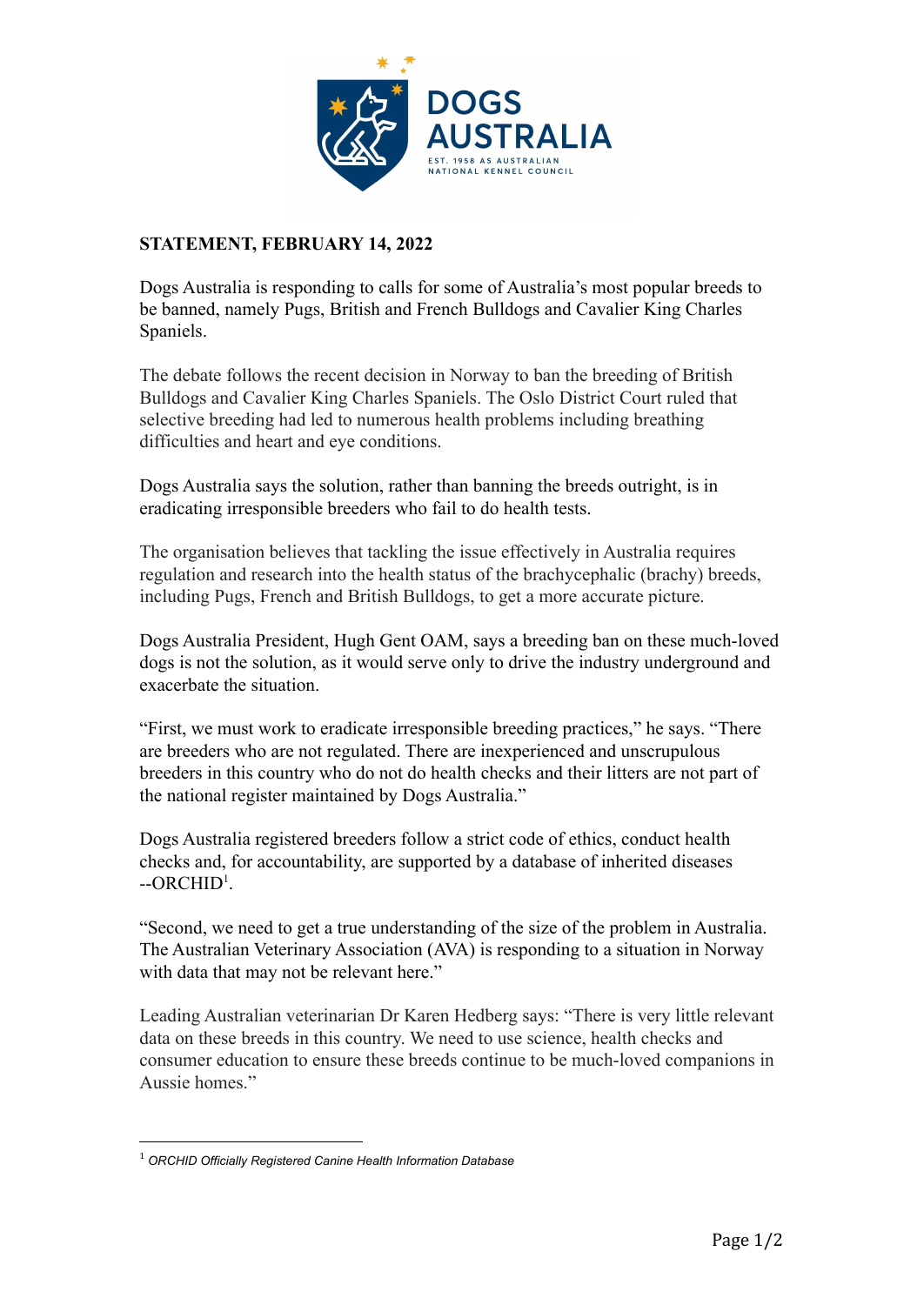

## **STATEMENT, FEBRUARY 14, 2022**

Dogs Australia is responding to calls for some of Australia's most popular breeds to be banned, namely Pugs, British and French Bulldogs and Cavalier King Charles Spaniels.

The debate follows the recent decision in Norway to ban the breeding of British Bulldogs and Cavalier King Charles Spaniels. The Oslo District Court ruled that selective breeding had led to numerous health problems including breathing difficulties and heart and eye conditions.

Dogs Australia says the solution, rather than banning the breeds outright, is in eradicating irresponsible breeders who fail to do health tests.

The organisation believes that tackling the issue effectively in Australia requires regulation and research into the health status of the brachycephalic (brachy) breeds, including Pugs, French and British Bulldogs, to get a more accurate picture.

Dogs Australia President, Hugh Gent OAM, says a breeding ban on these much-loved dogs is not the solution, as it would serve only to drive the industry underground and exacerbate the situation.

"First, we must work to eradicate irresponsible breeding practices," he says. "There are breeders who are not regulated. There are inexperienced and unscrupulous breeders in this country who do not do health checks and their litters are not part of the national register maintained by Dogs Australia."

Dogs Australia registered breeders follow a strict code of ethics, conduct health checks and, for accountability, are supported by a database of inherited diseases  $-ORCHID<sup>1</sup>$ .

"Second, we need to get a true understanding of the size of the problem in Australia. The Australian Veterinary Association (AVA) is responding to a situation in Norway with data that may not be relevant here."

Leading Australian veterinarian Dr Karen Hedberg says: "There is very little relevant data on these breeds in this country. We need to use science, health checks and consumer education to ensure these breeds continue to be much-loved companions in Aussie homes."

<sup>1</sup> *ORCHID Officially Registered Canine Health Information Database*